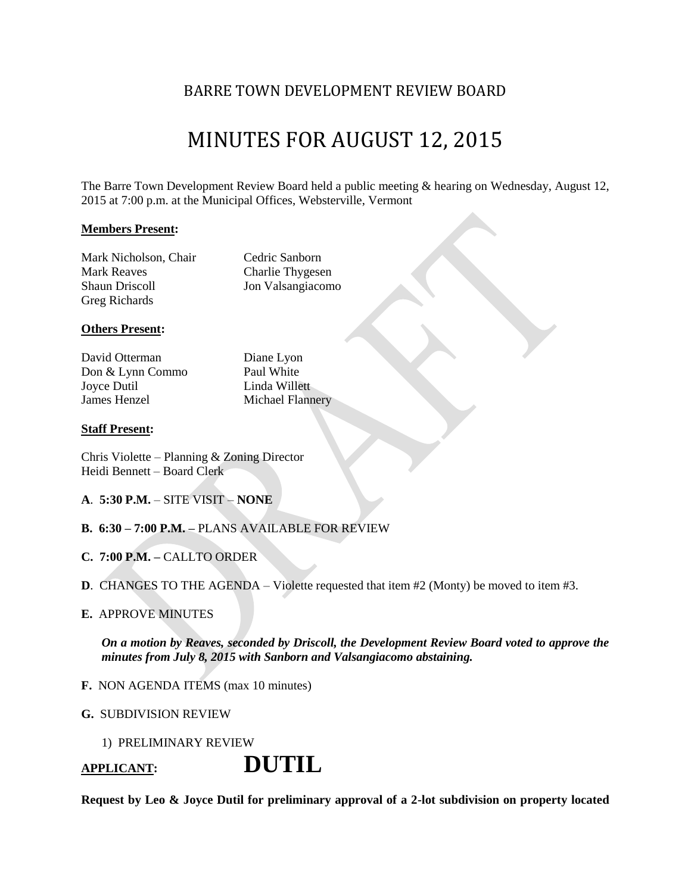### BARRE TOWN DEVELOPMENT REVIEW BOARD

# MINUTES FOR AUGUST 12, 2015

The Barre Town Development Review Board held a public meeting & hearing on Wednesday, August 12, 2015 at 7:00 p.m. at the Municipal Offices, Websterville, Vermont

#### **Members Present:**

Mark Nicholson, Chair Cedric Sanborn Mark Reaves Charlie Thygesen Shaun Driscoll Jon Valsangiacomo Greg Richards

#### **Others Present:**

David Otterman Diane Lyon Don & Lynn Commo Paul White Joyce Dutil Linda Willett **James Henzel Michael Flannery** 

#### **Staff Present:**

Chris Violette – Planning & Zoning Director Heidi Bennett – Board Clerk

- **A**. **5:30 P.M.** SITE VISIT **NONE**
- **B. 6:30 – 7:00 P.M. –** PLANS AVAILABLE FOR REVIEW
- **C. 7:00 P.M. –** CALLTO ORDER
- **D**. CHANGES TO THE AGENDA Violette requested that item #2 (Monty) be moved to item #3.

#### **E.** APPROVE MINUTES

*On a motion by Reaves, seconded by Driscoll, the Development Review Board voted to approve the minutes from July 8, 2015 with Sanborn and Valsangiacomo abstaining.*

- **F.** NON AGENDA ITEMS (max 10 minutes)
- **G.** SUBDIVISION REVIEW
	- 1) PRELIMINARY REVIEW

**APPLICANT: DUTIL** 

**Request by Leo & Joyce Dutil for preliminary approval of a 2-lot subdivision on property located**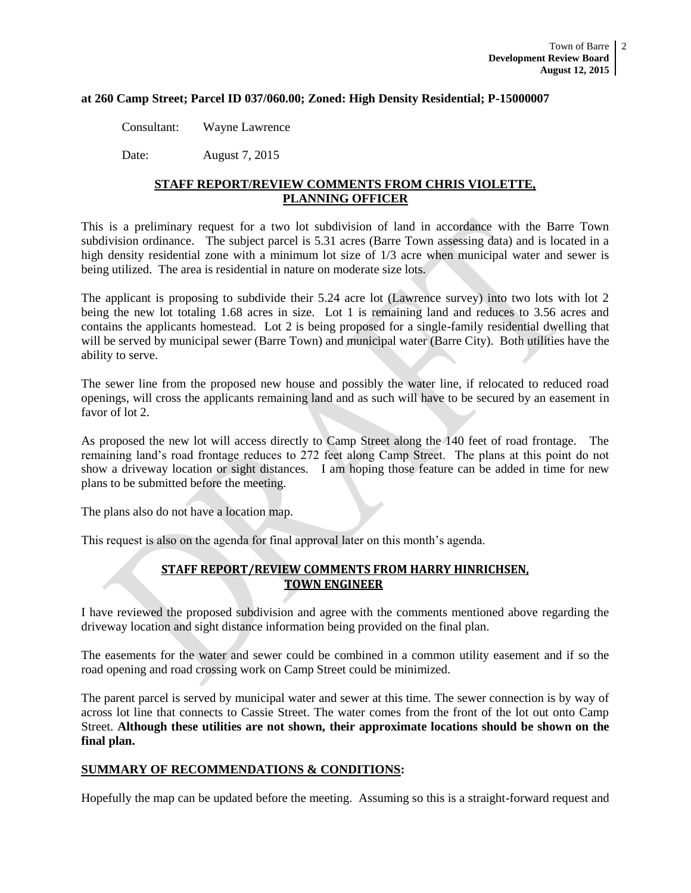#### **at 260 Camp Street; Parcel ID 037/060.00; Zoned: High Density Residential; P-15000007**

Consultant: Wayne Lawrence

Date: August 7, 2015

#### **STAFF REPORT/REVIEW COMMENTS FROM CHRIS VIOLETTE, PLANNING OFFICER**

This is a preliminary request for a two lot subdivision of land in accordance with the Barre Town subdivision ordinance. The subject parcel is 5.31 acres (Barre Town assessing data) and is located in a high density residential zone with a minimum lot size of  $1/3$  acre when municipal water and sewer is being utilized. The area is residential in nature on moderate size lots.

The applicant is proposing to subdivide their 5.24 acre lot (Lawrence survey) into two lots with lot 2 being the new lot totaling 1.68 acres in size. Lot 1 is remaining land and reduces to 3.56 acres and contains the applicants homestead. Lot 2 is being proposed for a single-family residential dwelling that will be served by municipal sewer (Barre Town) and municipal water (Barre City). Both utilities have the ability to serve.

The sewer line from the proposed new house and possibly the water line, if relocated to reduced road openings, will cross the applicants remaining land and as such will have to be secured by an easement in favor of lot 2.

As proposed the new lot will access directly to Camp Street along the 140 feet of road frontage. The remaining land's road frontage reduces to 272 feet along Camp Street. The plans at this point do not show a driveway location or sight distances. I am hoping those feature can be added in time for new plans to be submitted before the meeting.

The plans also do not have a location map.

This request is also on the agenda for final approval later on this month's agenda.

#### **STAFF REPORT/REVIEW COMMENTS FROM HARRY HINRICHSEN, TOWN ENGINEER**

I have reviewed the proposed subdivision and agree with the comments mentioned above regarding the driveway location and sight distance information being provided on the final plan.

The easements for the water and sewer could be combined in a common utility easement and if so the road opening and road crossing work on Camp Street could be minimized.

The parent parcel is served by municipal water and sewer at this time. The sewer connection is by way of across lot line that connects to Cassie Street. The water comes from the front of the lot out onto Camp Street. **Although these utilities are not shown, their approximate locations should be shown on the final plan.**

#### **SUMMARY OF RECOMMENDATIONS & CONDITIONS:**

Hopefully the map can be updated before the meeting. Assuming so this is a straight-forward request and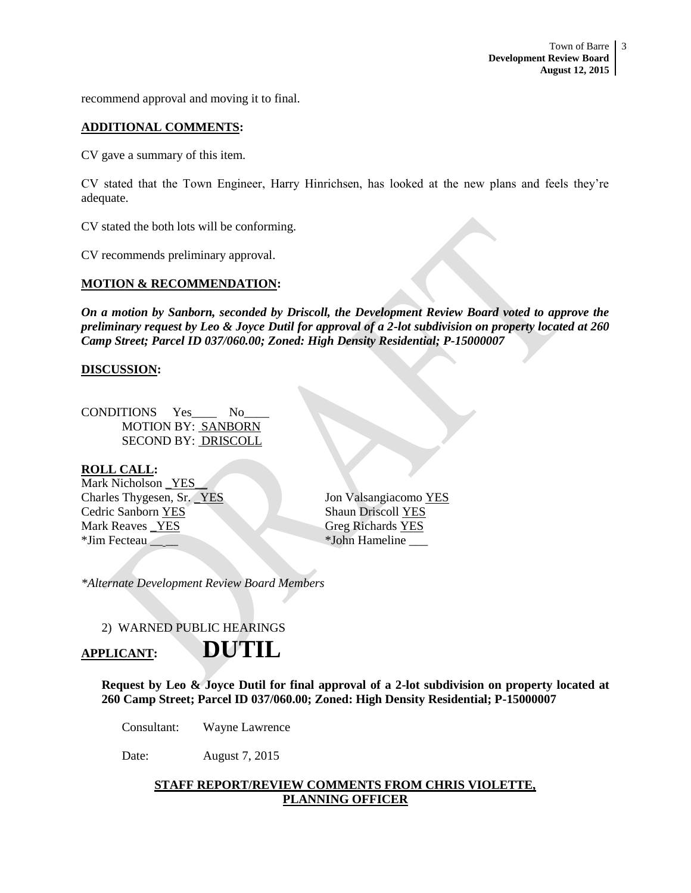recommend approval and moving it to final.

#### **ADDITIONAL COMMENTS:**

CV gave a summary of this item.

CV stated that the Town Engineer, Harry Hinrichsen, has looked at the new plans and feels they're adequate.

CV stated the both lots will be conforming.

CV recommends preliminary approval.

#### **MOTION & RECOMMENDATION:**

*On a motion by Sanborn, seconded by Driscoll, the Development Review Board voted to approve the preliminary request by Leo & Joyce Dutil for approval of a 2-lot subdivision on property located at 260 Camp Street; Parcel ID 037/060.00; Zoned: High Density Residential; P-15000007*

#### **DISCUSSION:**

CONDITIONS Yes\_\_\_\_ No\_\_\_\_ MOTION BY: SANBORN SECOND BY: DRISCOLL

#### **ROLL CALL:**

Mark Nicholson \_YES\_\_ Charles Thygesen, Sr. \_YES Jon Valsangiacomo YES **Cedric Sanborn YES** Shaun Driscoll YES Mark Reaves YES Greg Richards YES \*Jim Fecteau \_\_ \_\_ \*John Hameline \_\_\_

*\*Alternate Development Review Board Members*

#### 2) WARNED PUBLIC HEARINGS

### **APPLICANT: DUTIL**

**Request by Leo & Joyce Dutil for final approval of a 2-lot subdivision on property located at 260 Camp Street; Parcel ID 037/060.00; Zoned: High Density Residential; P-15000007**

Consultant: Wayne Lawrence

Date: August 7, 2015

#### **STAFF REPORT/REVIEW COMMENTS FROM CHRIS VIOLETTE, PLANNING OFFICER**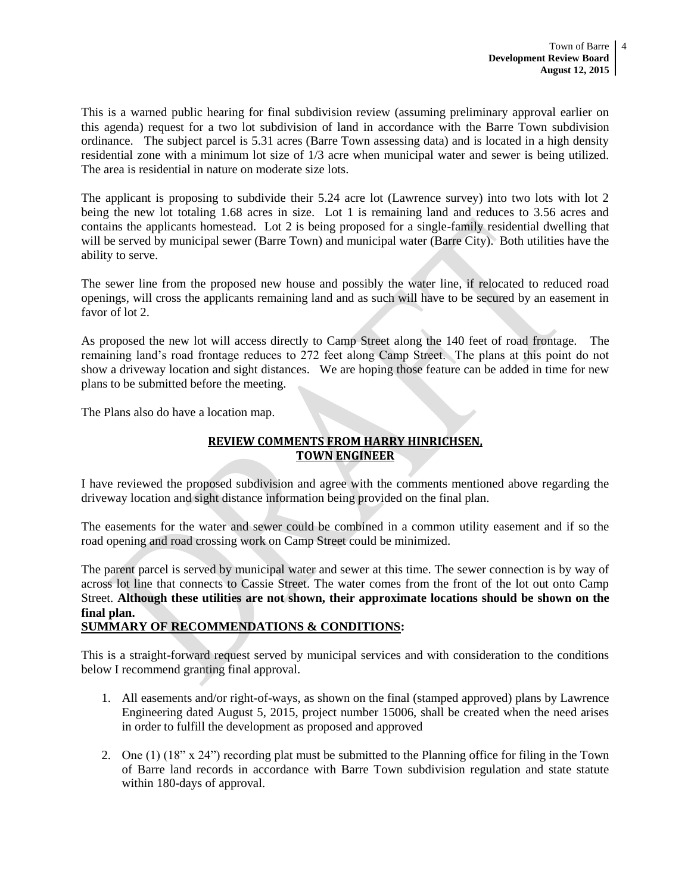This is a warned public hearing for final subdivision review (assuming preliminary approval earlier on this agenda) request for a two lot subdivision of land in accordance with the Barre Town subdivision ordinance. The subject parcel is 5.31 acres (Barre Town assessing data) and is located in a high density residential zone with a minimum lot size of 1/3 acre when municipal water and sewer is being utilized. The area is residential in nature on moderate size lots.

The applicant is proposing to subdivide their 5.24 acre lot (Lawrence survey) into two lots with lot 2 being the new lot totaling 1.68 acres in size. Lot 1 is remaining land and reduces to 3.56 acres and contains the applicants homestead. Lot 2 is being proposed for a single-family residential dwelling that will be served by municipal sewer (Barre Town) and municipal water (Barre City). Both utilities have the ability to serve.

The sewer line from the proposed new house and possibly the water line, if relocated to reduced road openings, will cross the applicants remaining land and as such will have to be secured by an easement in favor of lot 2.

As proposed the new lot will access directly to Camp Street along the 140 feet of road frontage. The remaining land's road frontage reduces to 272 feet along Camp Street. The plans at this point do not show a driveway location and sight distances. We are hoping those feature can be added in time for new plans to be submitted before the meeting.

The Plans also do have a location map.

### **REVIEW COMMENTS FROM HARRY HINRICHSEN, TOWN ENGINEER**

I have reviewed the proposed subdivision and agree with the comments mentioned above regarding the driveway location and sight distance information being provided on the final plan.

The easements for the water and sewer could be combined in a common utility easement and if so the road opening and road crossing work on Camp Street could be minimized.

The parent parcel is served by municipal water and sewer at this time. The sewer connection is by way of across lot line that connects to Cassie Street. The water comes from the front of the lot out onto Camp Street. **Although these utilities are not shown, their approximate locations should be shown on the final plan.**

#### **SUMMARY OF RECOMMENDATIONS & CONDITIONS:**

This is a straight-forward request served by municipal services and with consideration to the conditions below I recommend granting final approval.

- 1. All easements and/or right-of-ways, as shown on the final (stamped approved) plans by Lawrence Engineering dated August 5, 2015, project number 15006, shall be created when the need arises in order to fulfill the development as proposed and approved
- 2. One (1) (18" x 24") recording plat must be submitted to the Planning office for filing in the Town of Barre land records in accordance with Barre Town subdivision regulation and state statute within 180-days of approval.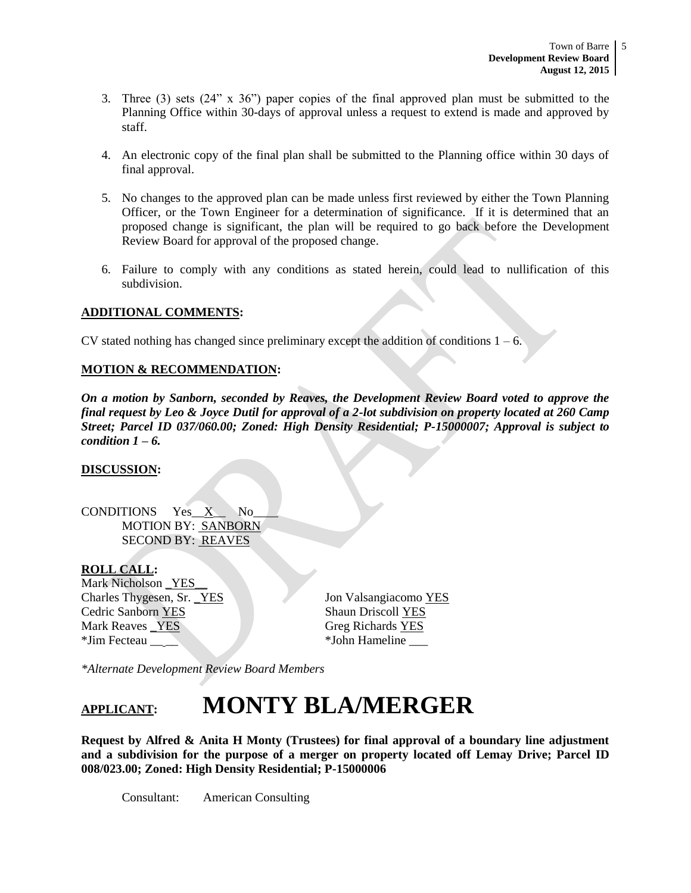- 3. Three (3) sets (24" x 36") paper copies of the final approved plan must be submitted to the Planning Office within 30-days of approval unless a request to extend is made and approved by staff.
- 4. An electronic copy of the final plan shall be submitted to the Planning office within 30 days of final approval.
- 5. No changes to the approved plan can be made unless first reviewed by either the Town Planning Officer, or the Town Engineer for a determination of significance. If it is determined that an proposed change is significant, the plan will be required to go back before the Development Review Board for approval of the proposed change.
- 6. Failure to comply with any conditions as stated herein, could lead to nullification of this subdivision.

#### **ADDITIONAL COMMENTS:**

CV stated nothing has changed since preliminary except the addition of conditions  $1 - 6$ .

#### **MOTION & RECOMMENDATION:**

*On a motion by Sanborn, seconded by Reaves, the Development Review Board voted to approve the final request by Leo & Joyce Dutil for approval of a 2-lot subdivision on property located at 260 Camp Street; Parcel ID 037/060.00; Zoned: High Density Residential; P-15000007; Approval is subject to condition 1 – 6.* 

#### **DISCUSSION:**

CONDITIONS Yes\_\_X\_\_ No\_\_\_\_ MOTION BY: SANBORN SECOND BY: REAVES

#### **ROLL CALL:**

Mark Nicholson \_YES\_\_ Charles Thygesen, Sr. \_YES Jon Valsangiacomo YES **Cedric Sanborn YES** Shaun Driscoll YES Mark Reaves <u>YES</u> Greg Richards YES \*Jim Fecteau \_\_ \_\_ \*John Hameline \_\_\_

*\*Alternate Development Review Board Members*

# **APPLICANT: MONTY BLA/MERGER**

**Request by Alfred & Anita H Monty (Trustees) for final approval of a boundary line adjustment and a subdivision for the purpose of a merger on property located off Lemay Drive; Parcel ID 008/023.00; Zoned: High Density Residential; P-15000006**

Consultant: American Consulting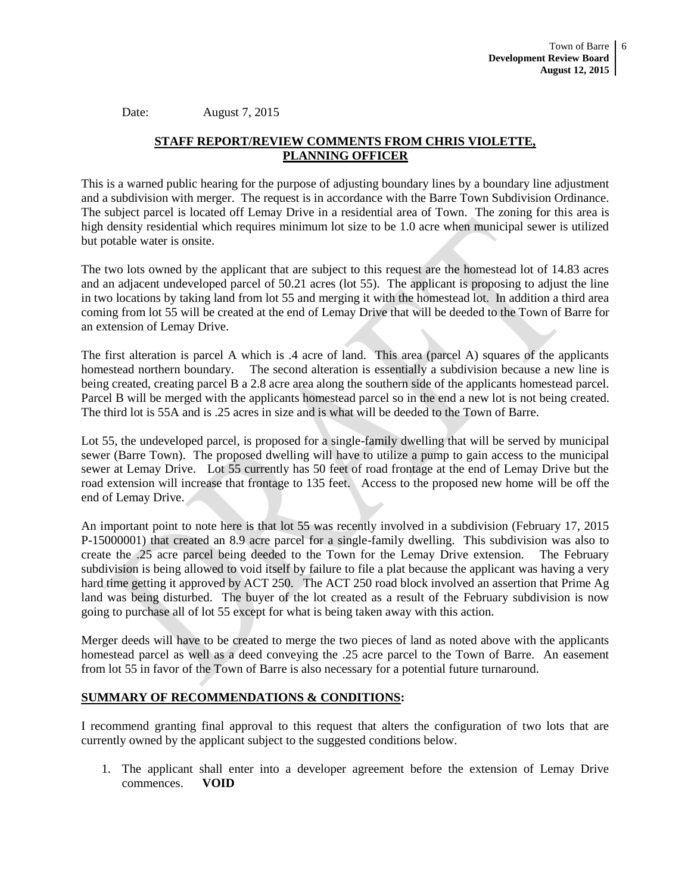Date: August 7, 2015

#### **STAFF REPORT/REVIEW COMMENTS FROM CHRIS VIOLETTE, PLANNING OFFICER**

This is a warned public hearing for the purpose of adjusting boundary lines by a boundary line adjustment and a subdivision with merger. The request is in accordance with the Barre Town Subdivision Ordinance. The subject parcel is located off Lemay Drive in a residential area of Town. The zoning for this area is high density residential which requires minimum lot size to be 1.0 acre when municipal sewer is utilized but potable water is onsite.

The two lots owned by the applicant that are subject to this request are the homestead lot of 14.83 acres and an adjacent undeveloped parcel of 50.21 acres (lot 55). The applicant is proposing to adjust the line in two locations by taking land from lot 55 and merging it with the homestead lot. In addition a third area coming from lot 55 will be created at the end of Lemay Drive that will be deeded to the Town of Barre for an extension of Lemay Drive.

The first alteration is parcel A which is .4 acre of land. This area (parcel A) squares of the applicants homestead northern boundary. The second alteration is essentially a subdivision because a new line is being created, creating parcel B a 2.8 acre area along the southern side of the applicants homestead parcel. Parcel B will be merged with the applicants homestead parcel so in the end a new lot is not being created. The third lot is 55A and is .25 acres in size and is what will be deeded to the Town of Barre.

Lot 55, the undeveloped parcel, is proposed for a single-family dwelling that will be served by municipal sewer (Barre Town). The proposed dwelling will have to utilize a pump to gain access to the municipal sewer at Lemay Drive. Lot 55 currently has 50 feet of road frontage at the end of Lemay Drive but the road extension will increase that frontage to 135 feet. Access to the proposed new home will be off the end of Lemay Drive.

An important point to note here is that lot 55 was recently involved in a subdivision (February 17, 2015 P-15000001) that created an 8.9 acre parcel for a single-family dwelling. This subdivision was also to create the .25 acre parcel being deeded to the Town for the Lemay Drive extension. The February subdivision is being allowed to void itself by failure to file a plat because the applicant was having a very hard time getting it approved by ACT 250. The ACT 250 road block involved an assertion that Prime Ag land was being disturbed. The buyer of the lot created as a result of the February subdivision is now going to purchase all of lot 55 except for what is being taken away with this action.

Merger deeds will have to be created to merge the two pieces of land as noted above with the applicants homestead parcel as well as a deed conveying the .25 acre parcel to the Town of Barre. An easement from lot 55 in favor of the Town of Barre is also necessary for a potential future turnaround.

#### **SUMMARY OF RECOMMENDATIONS & CONDITIONS:**

I recommend granting final approval to this request that alters the configuration of two lots that are currently owned by the applicant subject to the suggested conditions below.

1. The applicant shall enter into a developer agreement before the extension of Lemay Drive commences. **VOID**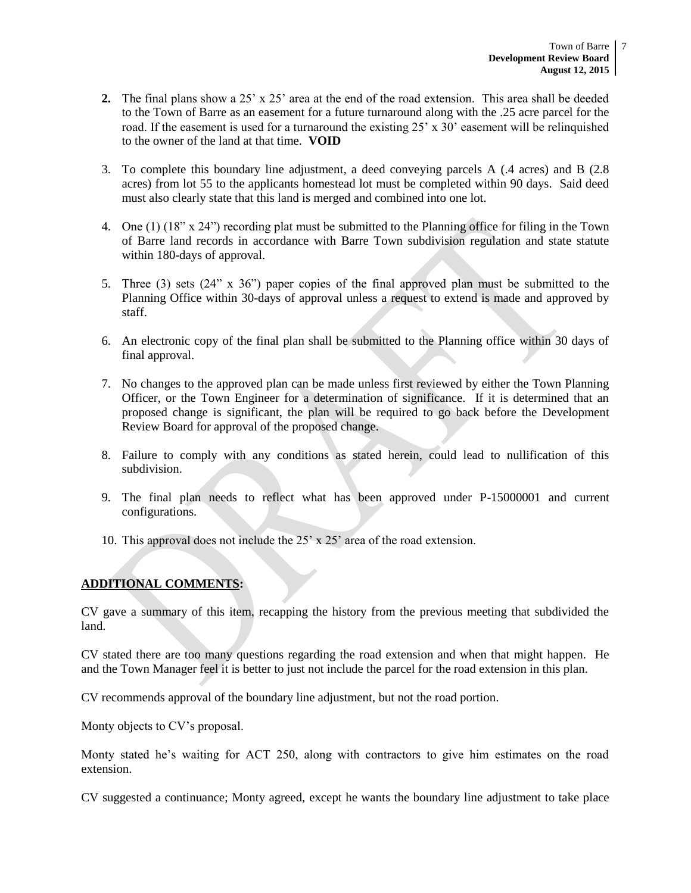- **2.** The final plans show a 25' x 25' area at the end of the road extension. This area shall be deeded to the Town of Barre as an easement for a future turnaround along with the .25 acre parcel for the road. If the easement is used for a turnaround the existing  $25' \times 30'$  easement will be relinquished to the owner of the land at that time. **VOID**
- 3. To complete this boundary line adjustment, a deed conveying parcels A (.4 acres) and B (2.8 acres) from lot 55 to the applicants homestead lot must be completed within 90 days. Said deed must also clearly state that this land is merged and combined into one lot.
- 4. One (1) (18" x 24") recording plat must be submitted to the Planning office for filing in the Town of Barre land records in accordance with Barre Town subdivision regulation and state statute within 180-days of approval.
- 5. Three (3) sets (24" x 36") paper copies of the final approved plan must be submitted to the Planning Office within 30-days of approval unless a request to extend is made and approved by staff.
- 6. An electronic copy of the final plan shall be submitted to the Planning office within 30 days of final approval.
- 7. No changes to the approved plan can be made unless first reviewed by either the Town Planning Officer, or the Town Engineer for a determination of significance. If it is determined that an proposed change is significant, the plan will be required to go back before the Development Review Board for approval of the proposed change.
- 8. Failure to comply with any conditions as stated herein, could lead to nullification of this subdivision.
- 9. The final plan needs to reflect what has been approved under P-15000001 and current configurations.
- 10. This approval does not include the 25' x 25' area of the road extension.

#### **ADDITIONAL COMMENTS:**

CV gave a summary of this item, recapping the history from the previous meeting that subdivided the land.

CV stated there are too many questions regarding the road extension and when that might happen. He and the Town Manager feel it is better to just not include the parcel for the road extension in this plan.

CV recommends approval of the boundary line adjustment, but not the road portion.

Monty objects to CV's proposal.

Monty stated he's waiting for ACT 250, along with contractors to give him estimates on the road extension.

CV suggested a continuance; Monty agreed, except he wants the boundary line adjustment to take place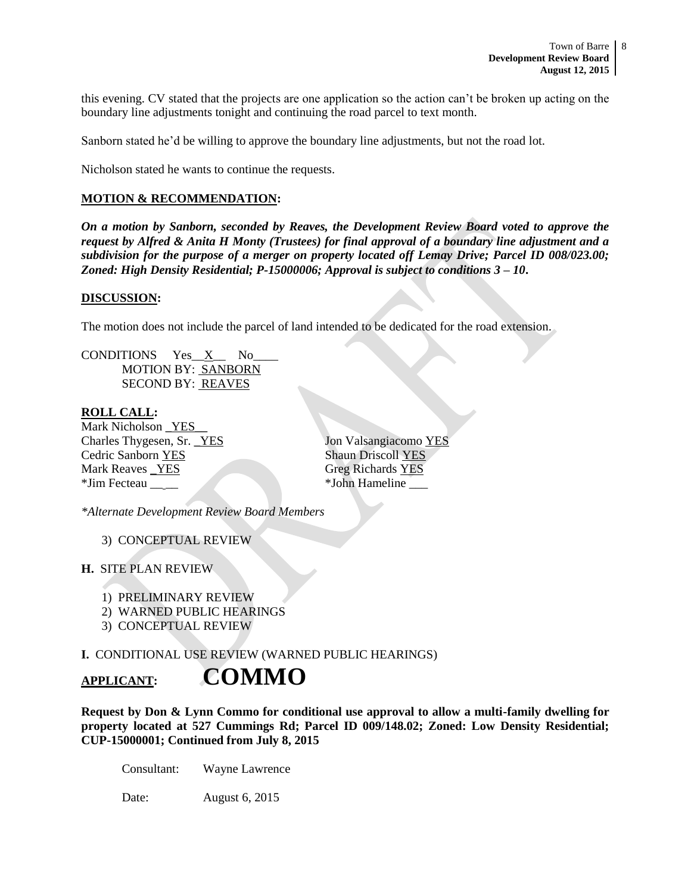this evening. CV stated that the projects are one application so the action can't be broken up acting on the boundary line adjustments tonight and continuing the road parcel to text month.

Sanborn stated he'd be willing to approve the boundary line adjustments, but not the road lot.

Nicholson stated he wants to continue the requests.

#### **MOTION & RECOMMENDATION:**

*On a motion by Sanborn, seconded by Reaves, the Development Review Board voted to approve the request by Alfred & Anita H Monty (Trustees) for final approval of a boundary line adjustment and a subdivision for the purpose of a merger on property located off Lemay Drive; Parcel ID 008/023.00; Zoned: High Density Residential; P-15000006; Approval is subject to conditions 3 – 10***.** 

#### **DISCUSSION:**

The motion does not include the parcel of land intended to be dedicated for the road extension.

CONDITIONS Yes\_\_X\_\_ No\_\_\_\_ MOTION BY: SANBORN SECOND BY: REAVES

#### **ROLL CALL:**

Mark Nicholson \_YES\_ Charles Thygesen, Sr. <u>YES</u> Jon Valsangiacomo YES Cedric Sanborn YES Shaun Driscoll YES Mark Reaves \_YES Greg Richards YES \*Jim Fecteau \_\_ \_\_ \*John Hameline \_\_\_

*\*Alternate Development Review Board Members*

3) CONCEPTUAL REVIEW

#### **H.** SITE PLAN REVIEW

- 1) PRELIMINARY REVIEW
- 2) WARNED PUBLIC HEARINGS
- 3) CONCEPTUAL REVIEW

**I.** CONDITIONAL USE REVIEW (WARNED PUBLIC HEARINGS)

### **APPLICANT: COMMO**

**Request by Don & Lynn Commo for conditional use approval to allow a multi-family dwelling for property located at 527 Cummings Rd; Parcel ID 009/148.02; Zoned: Low Density Residential; CUP-15000001; Continued from July 8, 2015** 

Consultant: Wayne Lawrence

Date: August 6, 2015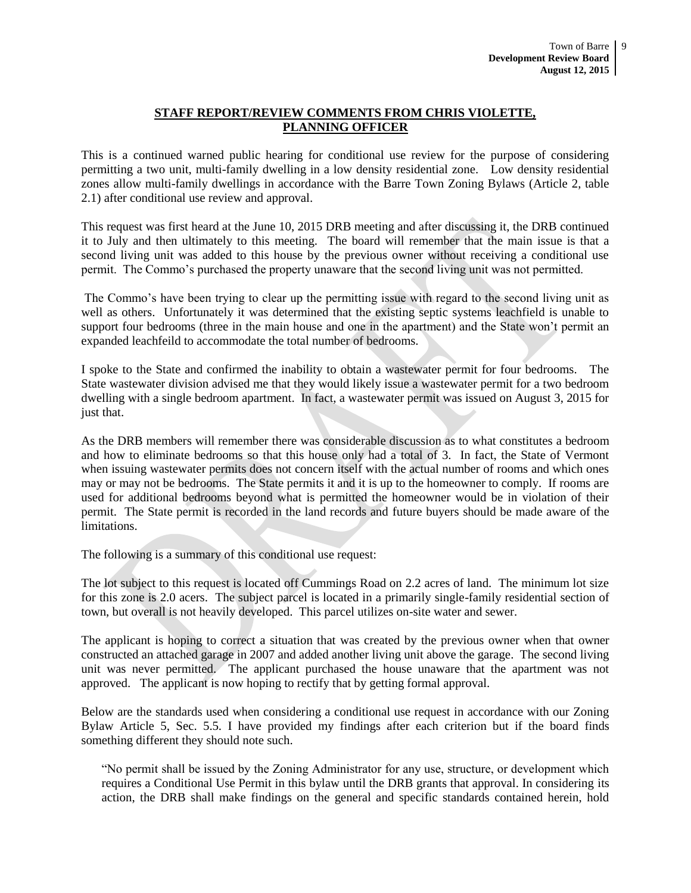#### **STAFF REPORT/REVIEW COMMENTS FROM CHRIS VIOLETTE, PLANNING OFFICER**

This is a continued warned public hearing for conditional use review for the purpose of considering permitting a two unit, multi-family dwelling in a low density residential zone. Low density residential zones allow multi-family dwellings in accordance with the Barre Town Zoning Bylaws (Article 2, table 2.1) after conditional use review and approval.

This request was first heard at the June 10, 2015 DRB meeting and after discussing it, the DRB continued it to July and then ultimately to this meeting. The board will remember that the main issue is that a second living unit was added to this house by the previous owner without receiving a conditional use permit. The Commo's purchased the property unaware that the second living unit was not permitted.

The Commo's have been trying to clear up the permitting issue with regard to the second living unit as well as others. Unfortunately it was determined that the existing septic systems leachfield is unable to support four bedrooms (three in the main house and one in the apartment) and the State won't permit an expanded leachfeild to accommodate the total number of bedrooms.

I spoke to the State and confirmed the inability to obtain a wastewater permit for four bedrooms. The State wastewater division advised me that they would likely issue a wastewater permit for a two bedroom dwelling with a single bedroom apartment. In fact, a wastewater permit was issued on August 3, 2015 for just that.

As the DRB members will remember there was considerable discussion as to what constitutes a bedroom and how to eliminate bedrooms so that this house only had a total of 3. In fact, the State of Vermont when issuing wastewater permits does not concern itself with the actual number of rooms and which ones may or may not be bedrooms. The State permits it and it is up to the homeowner to comply. If rooms are used for additional bedrooms beyond what is permitted the homeowner would be in violation of their permit. The State permit is recorded in the land records and future buyers should be made aware of the limitations.

The following is a summary of this conditional use request:

The lot subject to this request is located off Cummings Road on 2.2 acres of land. The minimum lot size for this zone is 2.0 acers. The subject parcel is located in a primarily single-family residential section of town, but overall is not heavily developed. This parcel utilizes on-site water and sewer.

The applicant is hoping to correct a situation that was created by the previous owner when that owner constructed an attached garage in 2007 and added another living unit above the garage. The second living unit was never permitted. The applicant purchased the house unaware that the apartment was not approved. The applicant is now hoping to rectify that by getting formal approval.

Below are the standards used when considering a conditional use request in accordance with our Zoning Bylaw Article 5, Sec. 5.5. I have provided my findings after each criterion but if the board finds something different they should note such.

"No permit shall be issued by the Zoning Administrator for any use, structure, or development which requires a Conditional Use Permit in this bylaw until the DRB grants that approval. In considering its action, the DRB shall make findings on the general and specific standards contained herein, hold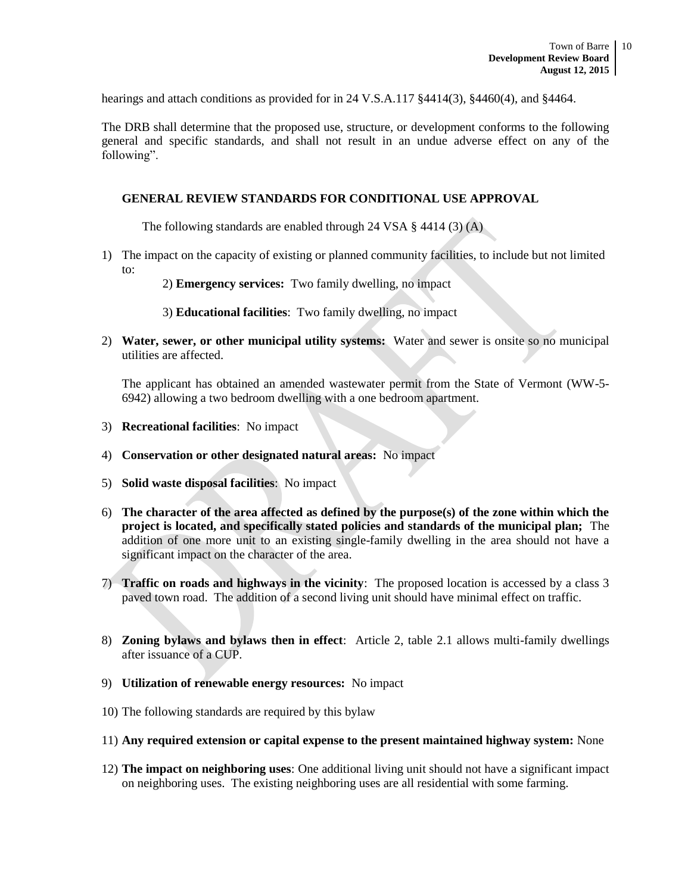hearings and attach conditions as provided for in 24 V.S.A.117 §4414(3), §4460(4), and §4464.

The DRB shall determine that the proposed use, structure, or development conforms to the following general and specific standards, and shall not result in an undue adverse effect on any of the following".

#### **GENERAL REVIEW STANDARDS FOR CONDITIONAL USE APPROVAL**

The following standards are enabled through 24 VSA § 4414 (3) (A)

- 1) The impact on the capacity of existing or planned community facilities, to include but not limited to:
	- 2) **Emergency services:** Two family dwelling, no impact
	- 3) **Educational facilities**: Two family dwelling, no impact
- 2) **Water, sewer, or other municipal utility systems:** Water and sewer is onsite so no municipal utilities are affected.

The applicant has obtained an amended wastewater permit from the State of Vermont (WW-5- 6942) allowing a two bedroom dwelling with a one bedroom apartment.

- 3) **Recreational facilities**: No impact
- 4) **Conservation or other designated natural areas:** No impact
- 5) **Solid waste disposal facilities**: No impact
- 6) **The character of the area affected as defined by the purpose(s) of the zone within which the project is located, and specifically stated policies and standards of the municipal plan;** The addition of one more unit to an existing single-family dwelling in the area should not have a significant impact on the character of the area.
- 7) **Traffic on roads and highways in the vicinity**: The proposed location is accessed by a class 3 paved town road. The addition of a second living unit should have minimal effect on traffic.
- 8) **Zoning bylaws and bylaws then in effect**: Article 2, table 2.1 allows multi-family dwellings after issuance of a CUP.
- 9) **Utilization of renewable energy resources:** No impact
- 10) The following standards are required by this bylaw
- 11) **Any required extension or capital expense to the present maintained highway system:** None
- 12) **The impact on neighboring uses**: One additional living unit should not have a significant impact on neighboring uses. The existing neighboring uses are all residential with some farming.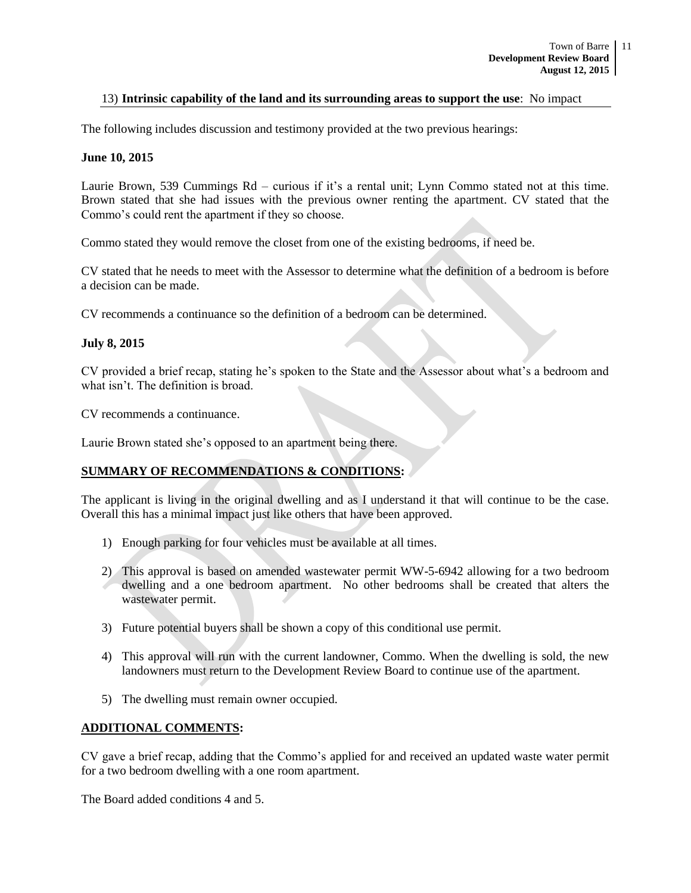#### 13) **Intrinsic capability of the land and its surrounding areas to support the use**: No impact

The following includes discussion and testimony provided at the two previous hearings:

#### **June 10, 2015**

Laurie Brown, 539 Cummings Rd – curious if it's a rental unit; Lynn Commo stated not at this time. Brown stated that she had issues with the previous owner renting the apartment. CV stated that the Commo's could rent the apartment if they so choose.

Commo stated they would remove the closet from one of the existing bedrooms, if need be.

CV stated that he needs to meet with the Assessor to determine what the definition of a bedroom is before a decision can be made.

CV recommends a continuance so the definition of a bedroom can be determined.

#### **July 8, 2015**

CV provided a brief recap, stating he's spoken to the State and the Assessor about what's a bedroom and what isn't. The definition is broad.

CV recommends a continuance.

Laurie Brown stated she's opposed to an apartment being there.

#### **SUMMARY OF RECOMMENDATIONS & CONDITIONS:**

The applicant is living in the original dwelling and as I understand it that will continue to be the case. Overall this has a minimal impact just like others that have been approved.

- 1) Enough parking for four vehicles must be available at all times.
- 2) This approval is based on amended wastewater permit WW-5-6942 allowing for a two bedroom dwelling and a one bedroom apartment. No other bedrooms shall be created that alters the wastewater permit.
- 3) Future potential buyers shall be shown a copy of this conditional use permit.
- 4) This approval will run with the current landowner, Commo. When the dwelling is sold, the new landowners must return to the Development Review Board to continue use of the apartment.
- 5) The dwelling must remain owner occupied.

#### **ADDITIONAL COMMENTS:**

CV gave a brief recap, adding that the Commo's applied for and received an updated waste water permit for a two bedroom dwelling with a one room apartment.

The Board added conditions 4 and 5.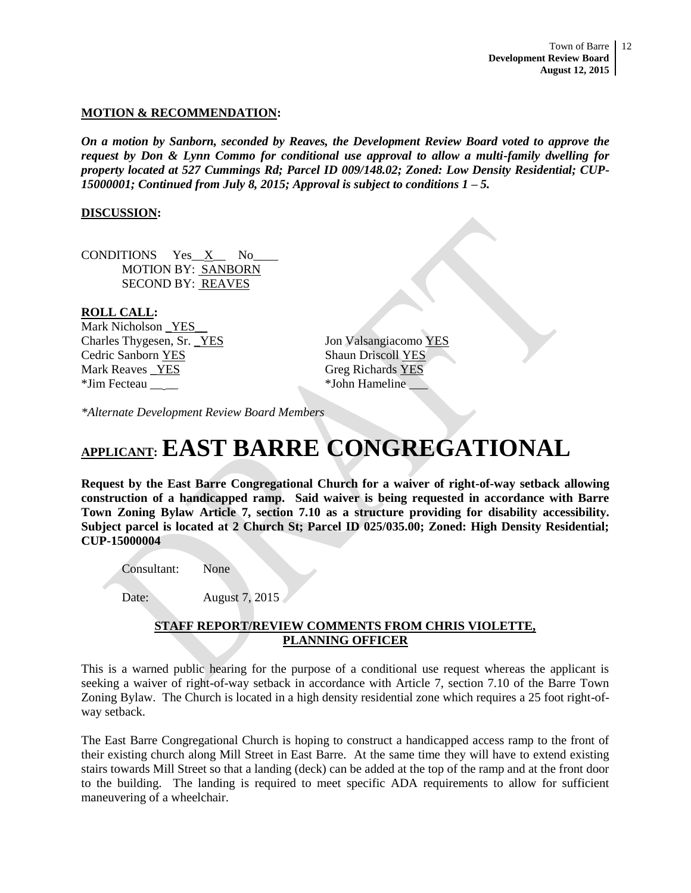#### **MOTION & RECOMMENDATION:**

*On a motion by Sanborn, seconded by Reaves, the Development Review Board voted to approve the request by Don & Lynn Commo for conditional use approval to allow a multi-family dwelling for property located at 527 Cummings Rd; Parcel ID 009/148.02; Zoned: Low Density Residential; CUP-15000001; Continued from July 8, 2015; Approval is subject to conditions 1 – 5.* 

#### **DISCUSSION:**

CONDITIONS Yes\_\_X\_\_ No\_\_\_\_ MOTION BY: SANBORN SECOND BY: REAVES

#### **ROLL CALL:**

Mark Nicholson YES Charles Thygesen, Sr. <u>YES</u> Jon Valsangiacomo YES Cedric Sanborn YES Shaun Driscoll YES Mark Reaves \_YES Greg Richards YES \*Jim Fecteau \_\_ \_\_ \*John Hameline \_\_\_

*\*Alternate Development Review Board Members*

# **APPLICANT: EAST BARRE CONGREGATIONAL**

**Request by the East Barre Congregational Church for a waiver of right-of-way setback allowing construction of a handicapped ramp. Said waiver is being requested in accordance with Barre Town Zoning Bylaw Article 7, section 7.10 as a structure providing for disability accessibility. Subject parcel is located at 2 Church St; Parcel ID 025/035.00; Zoned: High Density Residential; CUP-15000004**

Consultant: None

Date: August 7, 2015

#### **STAFF REPORT/REVIEW COMMENTS FROM CHRIS VIOLETTE, PLANNING OFFICER**

This is a warned public hearing for the purpose of a conditional use request whereas the applicant is seeking a waiver of right-of-way setback in accordance with Article 7, section 7.10 of the Barre Town Zoning Bylaw. The Church is located in a high density residential zone which requires a 25 foot right-ofway setback.

The East Barre Congregational Church is hoping to construct a handicapped access ramp to the front of their existing church along Mill Street in East Barre. At the same time they will have to extend existing stairs towards Mill Street so that a landing (deck) can be added at the top of the ramp and at the front door to the building. The landing is required to meet specific ADA requirements to allow for sufficient maneuvering of a wheelchair.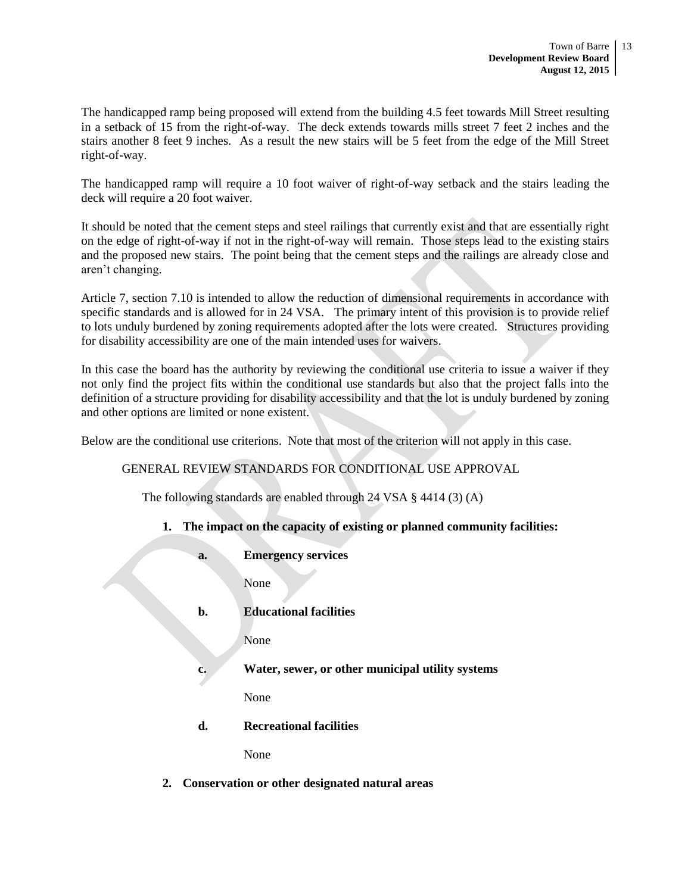The handicapped ramp being proposed will extend from the building 4.5 feet towards Mill Street resulting in a setback of 15 from the right-of-way. The deck extends towards mills street 7 feet 2 inches and the stairs another 8 feet 9 inches. As a result the new stairs will be 5 feet from the edge of the Mill Street right-of-way.

The handicapped ramp will require a 10 foot waiver of right-of-way setback and the stairs leading the deck will require a 20 foot waiver.

It should be noted that the cement steps and steel railings that currently exist and that are essentially right on the edge of right-of-way if not in the right-of-way will remain. Those steps lead to the existing stairs and the proposed new stairs. The point being that the cement steps and the railings are already close and aren't changing.

Article 7, section 7.10 is intended to allow the reduction of dimensional requirements in accordance with specific standards and is allowed for in 24 VSA. The primary intent of this provision is to provide relief to lots unduly burdened by zoning requirements adopted after the lots were created. Structures providing for disability accessibility are one of the main intended uses for waivers.

In this case the board has the authority by reviewing the conditional use criteria to issue a waiver if they not only find the project fits within the conditional use standards but also that the project falls into the definition of a structure providing for disability accessibility and that the lot is unduly burdened by zoning and other options are limited or none existent.

Below are the conditional use criterions. Note that most of the criterion will not apply in this case.

#### GENERAL REVIEW STANDARDS FOR CONDITIONAL USE APPROVAL

The following standards are enabled through 24 VSA § 4414 (3) (A)

#### **1. The impact on the capacity of existing or planned community facilities:**

**a. Emergency services**

None

**b. Educational facilities**

None

**c. Water, sewer, or other municipal utility systems**

None

**d. Recreational facilities**

None

**2. Conservation or other designated natural areas**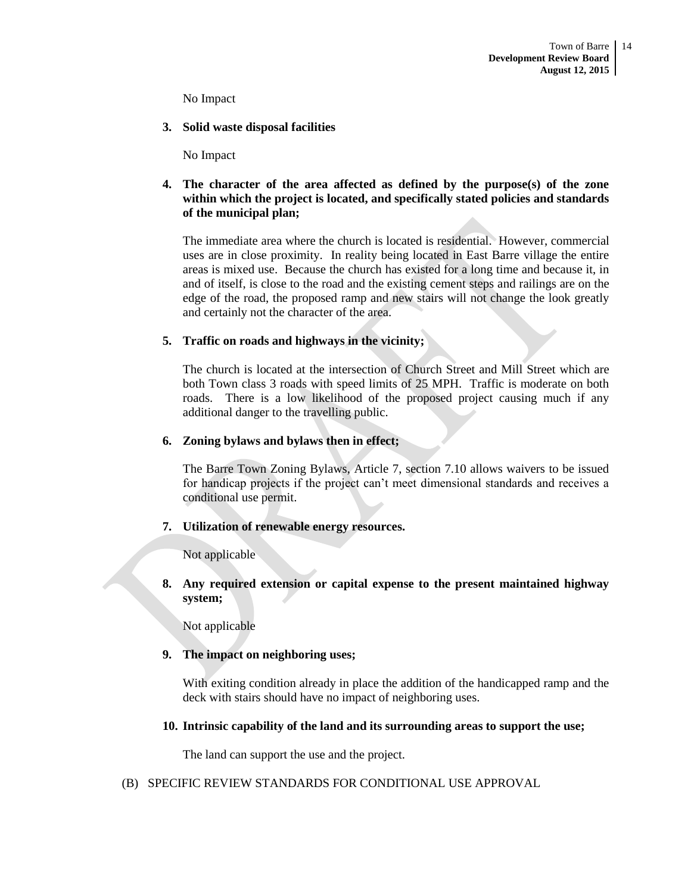No Impact

**3. Solid waste disposal facilities**

No Impact

#### **4. The character of the area affected as defined by the purpose(s) of the zone within which the project is located, and specifically stated policies and standards of the municipal plan;**

The immediate area where the church is located is residential. However, commercial uses are in close proximity. In reality being located in East Barre village the entire areas is mixed use. Because the church has existed for a long time and because it, in and of itself, is close to the road and the existing cement steps and railings are on the edge of the road, the proposed ramp and new stairs will not change the look greatly and certainly not the character of the area.

#### **5. Traffic on roads and highways in the vicinity;**

The church is located at the intersection of Church Street and Mill Street which are both Town class 3 roads with speed limits of 25 MPH. Traffic is moderate on both roads. There is a low likelihood of the proposed project causing much if any additional danger to the travelling public.

#### **6. Zoning bylaws and bylaws then in effect;**

The Barre Town Zoning Bylaws, Article 7, section 7.10 allows waivers to be issued for handicap projects if the project can't meet dimensional standards and receives a conditional use permit.

#### **7. Utilization of renewable energy resources.**

Not applicable

**8. Any required extension or capital expense to the present maintained highway system;**

Not applicable

#### **9. The impact on neighboring uses;**

With exiting condition already in place the addition of the handicapped ramp and the deck with stairs should have no impact of neighboring uses.

#### **10. Intrinsic capability of the land and its surrounding areas to support the use;**

The land can support the use and the project.

#### (B) SPECIFIC REVIEW STANDARDS FOR CONDITIONAL USE APPROVAL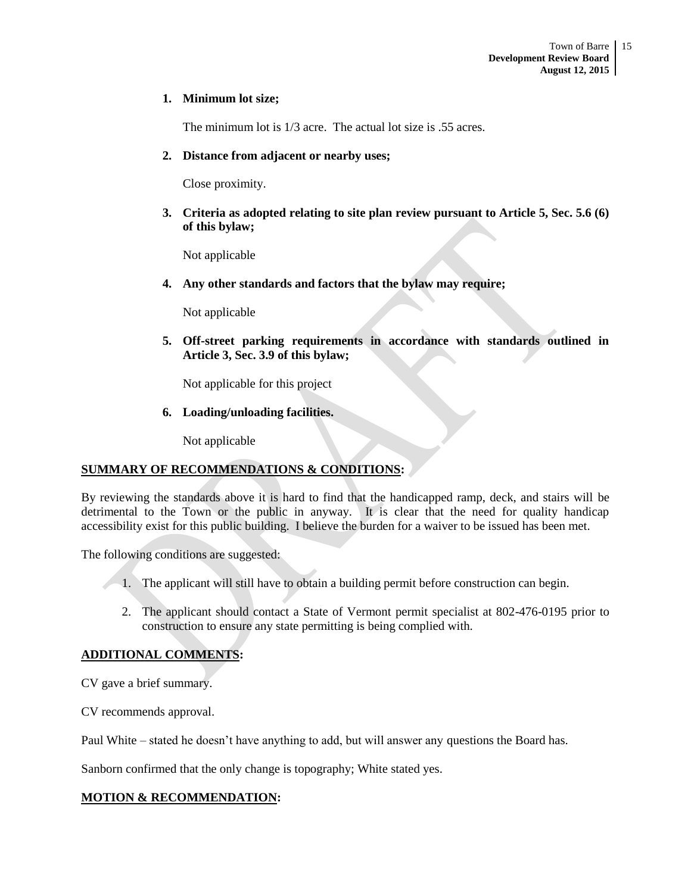#### **1. Minimum lot size;**

The minimum lot is 1/3 acre. The actual lot size is .55 acres.

#### **2. Distance from adjacent or nearby uses;**

Close proximity.

**3. Criteria as adopted relating to site plan review pursuant to Article 5, Sec. 5.6 (6) of this bylaw;**

Not applicable

**4. Any other standards and factors that the bylaw may require;**

Not applicable

**5. Off-street parking requirements in accordance with standards outlined in Article 3, Sec. 3.9 of this bylaw;**

Not applicable for this project

**6. Loading/unloading facilities.**

Not applicable

#### **SUMMARY OF RECOMMENDATIONS & CONDITIONS:**

By reviewing the standards above it is hard to find that the handicapped ramp, deck, and stairs will be detrimental to the Town or the public in anyway. It is clear that the need for quality handicap accessibility exist for this public building. I believe the burden for a waiver to be issued has been met.

The following conditions are suggested:

- 1. The applicant will still have to obtain a building permit before construction can begin.
- 2. The applicant should contact a State of Vermont permit specialist at 802-476-0195 prior to construction to ensure any state permitting is being complied with.

#### **ADDITIONAL COMMENTS:**

CV gave a brief summary.

CV recommends approval.

Paul White – stated he doesn't have anything to add, but will answer any questions the Board has.

Sanborn confirmed that the only change is topography; White stated yes.

#### **MOTION & RECOMMENDATION:**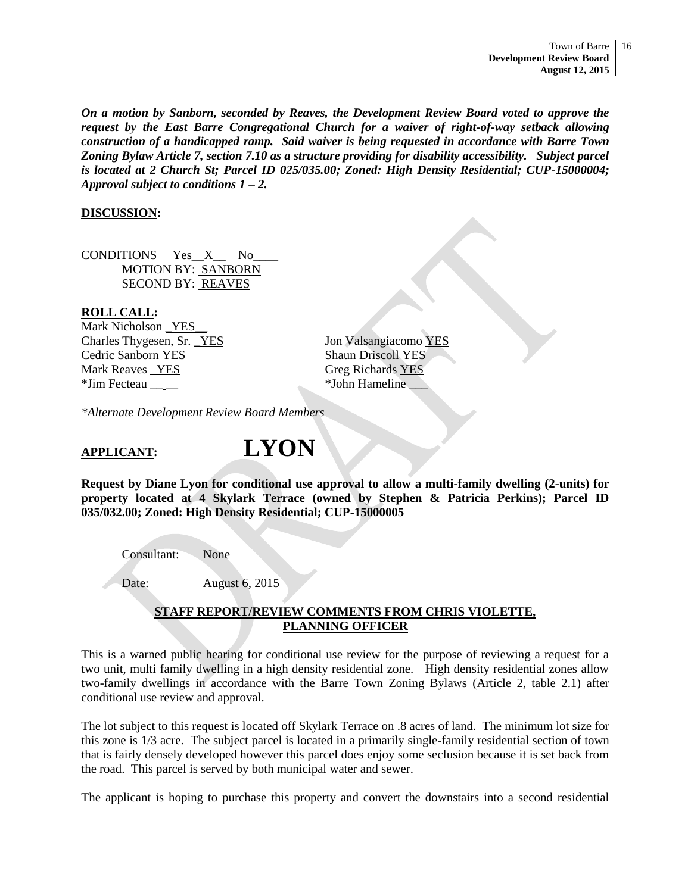*On a motion by Sanborn, seconded by Reaves, the Development Review Board voted to approve the request by the East Barre Congregational Church for a waiver of right-of-way setback allowing construction of a handicapped ramp. Said waiver is being requested in accordance with Barre Town Zoning Bylaw Article 7, section 7.10 as a structure providing for disability accessibility. Subject parcel is located at 2 Church St; Parcel ID 025/035.00; Zoned: High Density Residential; CUP-15000004; Approval subject to conditions 1 – 2.*

#### **DISCUSSION:**

CONDITIONS Yes\_\_X\_\_ No\_\_\_\_ MOTION BY: SANBORN SECOND BY: REAVES

#### **ROLL CALL:**

Mark Nicholson YES Charles Thygesen, Sr. <u>YES</u> Jon Valsangiacomo YES Cedric Sanborn YES Shaun Driscoll YES Mark Reaves \_YES Greg Richards YES \*Jim Fecteau \_\_ \_\_ \*John Hameline \_\_\_

*\*Alternate Development Review Board Members*

# **APPLICANT: LYON**

**Request by Diane Lyon for conditional use approval to allow a multi-family dwelling (2-units) for property located at 4 Skylark Terrace (owned by Stephen & Patricia Perkins); Parcel ID 035/032.00; Zoned: High Density Residential; CUP-15000005**

Consultant: None

Date: August 6, 2015

#### **STAFF REPORT/REVIEW COMMENTS FROM CHRIS VIOLETTE, PLANNING OFFICER**

This is a warned public hearing for conditional use review for the purpose of reviewing a request for a two unit, multi family dwelling in a high density residential zone. High density residential zones allow two-family dwellings in accordance with the Barre Town Zoning Bylaws (Article 2, table 2.1) after conditional use review and approval.

The lot subject to this request is located off Skylark Terrace on .8 acres of land. The minimum lot size for this zone is 1/3 acre. The subject parcel is located in a primarily single-family residential section of town that is fairly densely developed however this parcel does enjoy some seclusion because it is set back from the road. This parcel is served by both municipal water and sewer.

The applicant is hoping to purchase this property and convert the downstairs into a second residential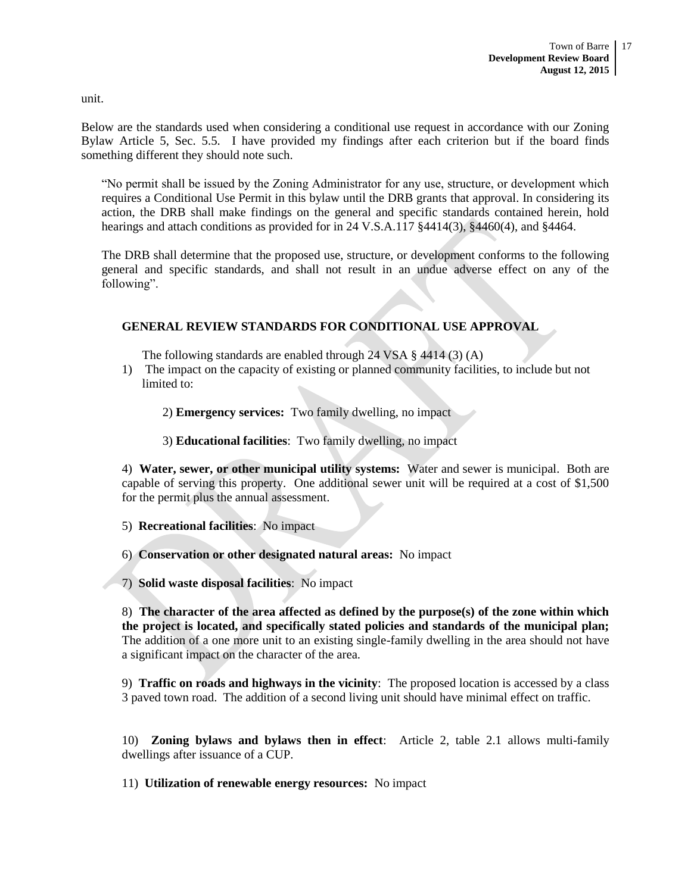unit.

Below are the standards used when considering a conditional use request in accordance with our Zoning Bylaw Article 5, Sec. 5.5. I have provided my findings after each criterion but if the board finds something different they should note such.

"No permit shall be issued by the Zoning Administrator for any use, structure, or development which requires a Conditional Use Permit in this bylaw until the DRB grants that approval. In considering its action, the DRB shall make findings on the general and specific standards contained herein, hold hearings and attach conditions as provided for in 24 V.S.A.117 §4414(3), §4460(4), and §4464.

The DRB shall determine that the proposed use, structure, or development conforms to the following general and specific standards, and shall not result in an undue adverse effect on any of the following".

#### **GENERAL REVIEW STANDARDS FOR CONDITIONAL USE APPROVAL**

The following standards are enabled through 24 VSA § 4414 (3) (A)

- 1) The impact on the capacity of existing or planned community facilities, to include but not limited to:
	- 2) **Emergency services:** Two family dwelling, no impact
	- 3) **Educational facilities**: Two family dwelling, no impact

4) **Water, sewer, or other municipal utility systems:** Water and sewer is municipal. Both are capable of serving this property. One additional sewer unit will be required at a cost of \$1,500 for the permit plus the annual assessment.

5) **Recreational facilities**: No impact

6) **Conservation or other designated natural areas:** No impact

7) **Solid waste disposal facilities**: No impact

8) **The character of the area affected as defined by the purpose(s) of the zone within which the project is located, and specifically stated policies and standards of the municipal plan;**  The addition of a one more unit to an existing single-family dwelling in the area should not have a significant impact on the character of the area.

9) **Traffic on roads and highways in the vicinity**: The proposed location is accessed by a class 3 paved town road. The addition of a second living unit should have minimal effect on traffic.

10) **Zoning bylaws and bylaws then in effect**: Article 2, table 2.1 allows multi-family dwellings after issuance of a CUP.

11) **Utilization of renewable energy resources:** No impact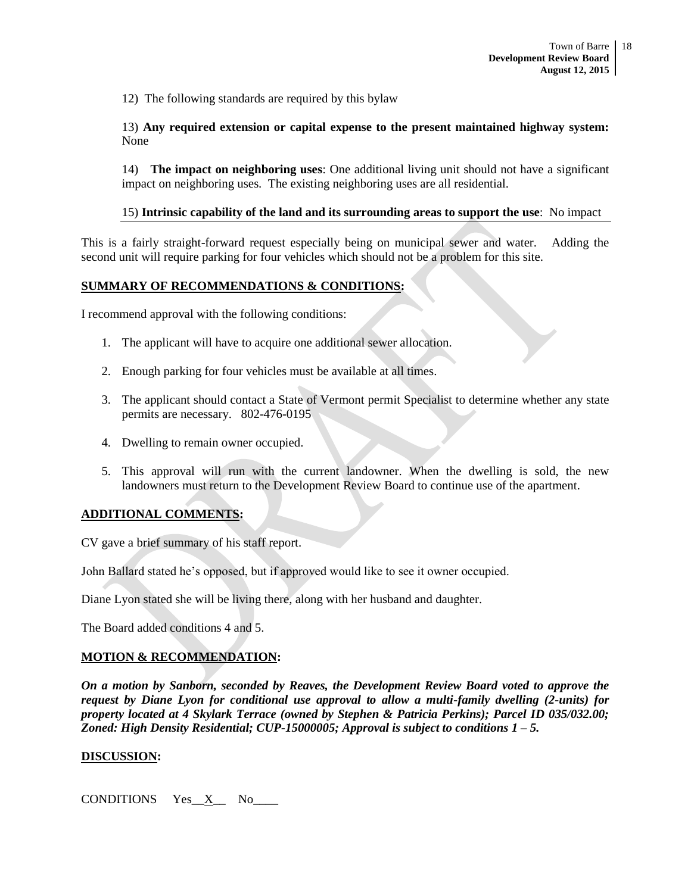12) The following standards are required by this bylaw

13) **Any required extension or capital expense to the present maintained highway system:**  None

14) **The impact on neighboring uses**: One additional living unit should not have a significant impact on neighboring uses. The existing neighboring uses are all residential.

#### 15) **Intrinsic capability of the land and its surrounding areas to support the use**: No impact

This is a fairly straight-forward request especially being on municipal sewer and water. Adding the second unit will require parking for four vehicles which should not be a problem for this site.

#### **SUMMARY OF RECOMMENDATIONS & CONDITIONS:**

I recommend approval with the following conditions:

- 1. The applicant will have to acquire one additional sewer allocation.
- 2. Enough parking for four vehicles must be available at all times.
- 3. The applicant should contact a State of Vermont permit Specialist to determine whether any state permits are necessary. 802-476-0195
- 4. Dwelling to remain owner occupied.
- 5. This approval will run with the current landowner. When the dwelling is sold, the new landowners must return to the Development Review Board to continue use of the apartment.

#### **ADDITIONAL COMMENTS:**

CV gave a brief summary of his staff report.

John Ballard stated he's opposed, but if approved would like to see it owner occupied.

Diane Lyon stated she will be living there, along with her husband and daughter.

The Board added conditions 4 and 5.

#### **MOTION & RECOMMENDATION:**

*On a motion by Sanborn, seconded by Reaves, the Development Review Board voted to approve the request by Diane Lyon for conditional use approval to allow a multi-family dwelling (2-units) for property located at 4 Skylark Terrace (owned by Stephen & Patricia Perkins); Parcel ID 035/032.00; Zoned: High Density Residential; CUP-15000005; Approval is subject to conditions 1 – 5.*

#### **DISCUSSION:**

CONDITIONS Yes\_\_X\_\_ No\_\_\_\_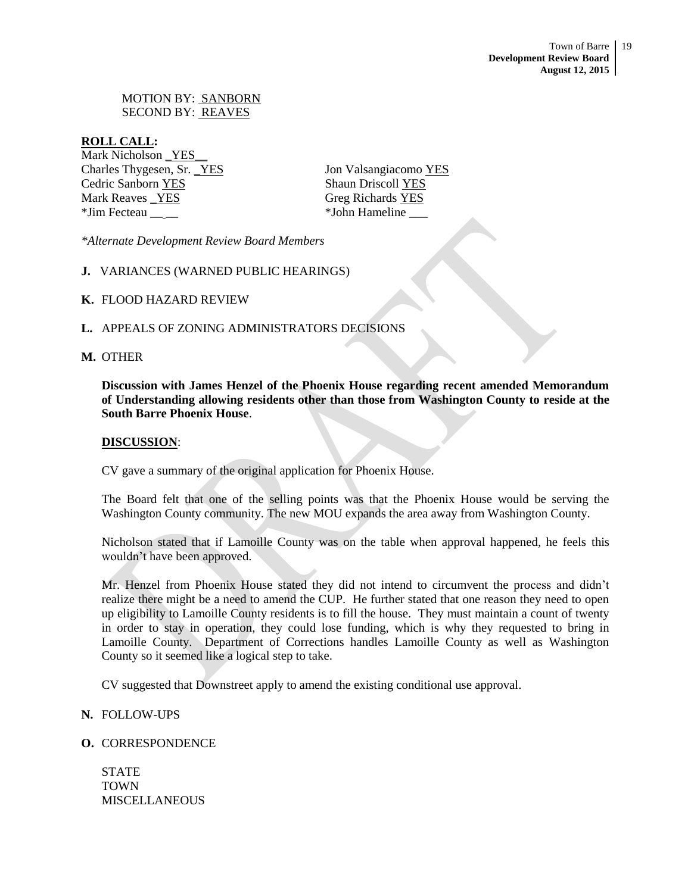MOTION BY: SANBORN SECOND BY: REAVES

#### **ROLL CALL:**

Mark Nicholson \_YES\_\_ Charles Thygesen, Sr. \_YES Jon Valsangiacomo YES Cedric Sanborn YES Shaun Driscoll YES Mark Reaves <u>YES</u> Greg Richards YES \*Jim Fecteau \_\_ \_\_ \*John Hameline \_\_\_

*\*Alternate Development Review Board Members*

- **J.** VARIANCES (WARNED PUBLIC HEARINGS)
- **K.** FLOOD HAZARD REVIEW
- **L.** APPEALS OF ZONING ADMINISTRATORS DECISIONS

#### **M.** OTHER

**Discussion with James Henzel of the Phoenix House regarding recent amended Memorandum of Understanding allowing residents other than those from Washington County to reside at the South Barre Phoenix House**.

#### **DISCUSSION**:

CV gave a summary of the original application for Phoenix House.

The Board felt that one of the selling points was that the Phoenix House would be serving the Washington County community. The new MOU expands the area away from Washington County.

Nicholson stated that if Lamoille County was on the table when approval happened, he feels this wouldn't have been approved.

Mr. Henzel from Phoenix House stated they did not intend to circumvent the process and didn't realize there might be a need to amend the CUP. He further stated that one reason they need to open up eligibility to Lamoille County residents is to fill the house. They must maintain a count of twenty in order to stay in operation, they could lose funding, which is why they requested to bring in Lamoille County. Department of Corrections handles Lamoille County as well as Washington County so it seemed like a logical step to take.

CV suggested that Downstreet apply to amend the existing conditional use approval.

#### **N.** FOLLOW-UPS

#### **O.** CORRESPONDENCE

STATE TOWN **MISCELLANEOUS**